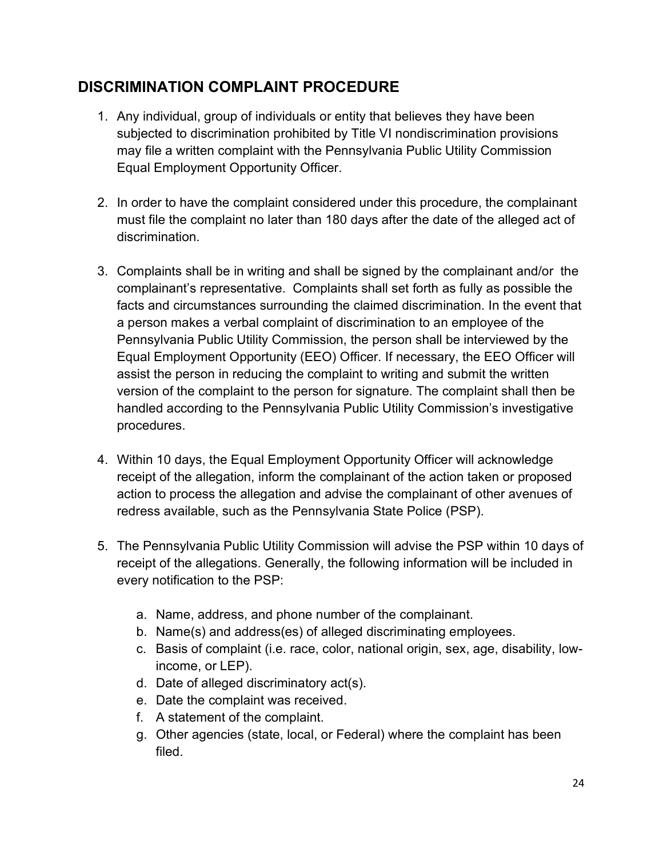## DISCRIMINATION COMPLAINT PROCEDURE

- 1. Any individual, group of individuals or entity that believes they have been subjected to discrimination prohibited by Title VI nondiscrimination provisions may file a written complaint with the Pennsylvania Public Utility Commission Equal Employment Opportunity Officer.
- 2. In order to have the complaint considered under this procedure, the complainant must file the complaint no later than 180 days after the date of the alleged act of discrimination.
- 3. Complaints shall be in writing and shall be signed by the complainant and/or the complainant's representative. Complaints shall set forth as fully as possible the facts and circumstances surrounding the claimed discrimination. In the event that a person makes a verbal complaint of discrimination to an employee of the Pennsylvania Public Utility Commission, the person shall be interviewed by the Equal Employment Opportunity (EEO) Officer. If necessary, the EEO Officer will assist the person in reducing the complaint to writing and submit the written version of the complaint to the person for signature. The complaint shall then be handled according to the Pennsylvania Public Utility Commission's investigative procedures.
- 4. Within 10 days, the Equal Employment Opportunity Officer will acknowledge receipt of the allegation, inform the complainant of the action taken or proposed action to process the allegation and advise the complainant of other avenues of redress available, such as the Pennsylvania State Police (PSP).
- 5. The Pennsylvania Public Utility Commission will advise the PSP within 10 days of receipt of the allegations. Generally, the following information will be included in every notification to the PSP:
	- a. Name, address, and phone number of the complainant.
	- b. Name(s) and address(es) of alleged discriminating employees.
	- c. Basis of complaint (i.e. race, color, national origin, sex, age, disability, lowincome, or LEP).
	- d. Date of alleged discriminatory act(s).
	- e. Date the complaint was received.
	- f. A statement of the complaint.
	- g. Other agencies (state, local, or Federal) where the complaint has been filed.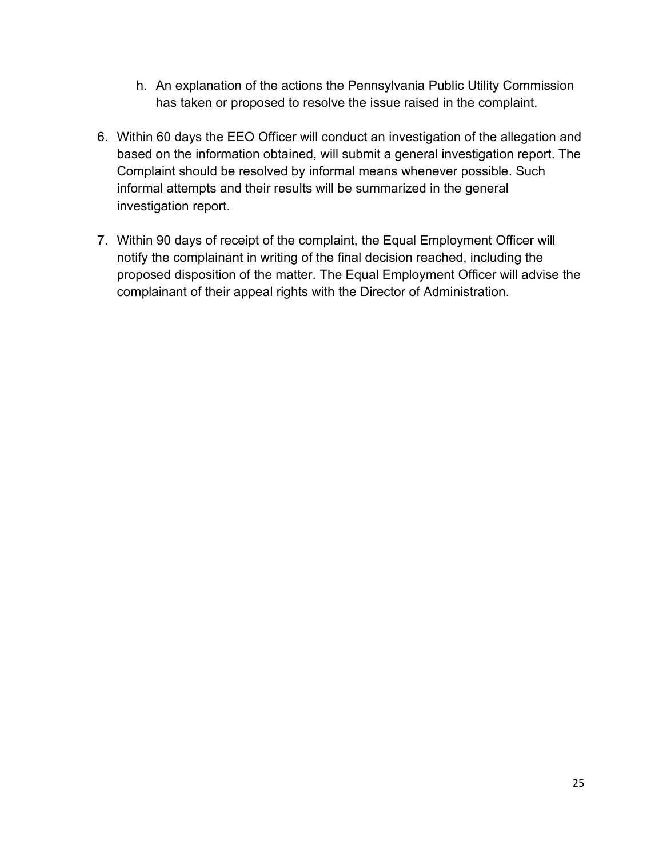- h. An explanation of the actions the Pennsylvania Public Utility Commission has taken or proposed to resolve the issue raised in the complaint.
- 6. Within 60 days the EEO Officer will conduct an investigation of the allegation and based on the information obtained, will submit a general investigation report. The Complaint should be resolved by informal means whenever possible. Such informal attempts and their results will be summarized in the general investigation report.
- 7. Within 90 days of receipt of the complaint, the Equal Employment Officer will notify the complainant in writing of the final decision reached, including the proposed disposition of the matter. The Equal Employment Officer will advise the complainant of their appeal rights with the Director of Administration.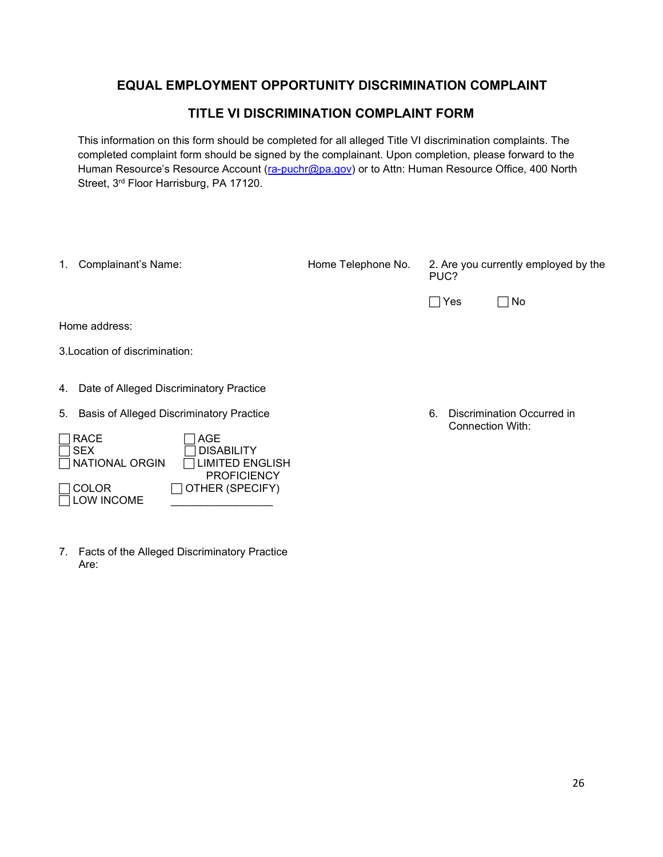## EQUAL EMPLOYMENT OPPORTUNITY DISCRIMINATION COMPLAINT

## TITLE VI DISCRIMINATION COMPLAINT FORM

This information on this form should be completed for all alleged Title VI discrimination complaints. The completed complaint form should be signed by the complainant. Upon completion, please forward to the Human Resource's Resource Account (ra-puchr@pa.gov) or to Attn: Human Resource Office, 400 North Street, 3<sup>rd</sup> Floor Harrisburg, PA 17120.

| Complainant's Name:<br>1.                                                                                                                                                                                          | Home Telephone No. | 2. Are you currently employed by the<br>PUC?                |
|--------------------------------------------------------------------------------------------------------------------------------------------------------------------------------------------------------------------|--------------------|-------------------------------------------------------------|
|                                                                                                                                                                                                                    |                    | No<br>$\sqcap$ Yes                                          |
| Home address:                                                                                                                                                                                                      |                    |                                                             |
| 3. Location of discrimination:                                                                                                                                                                                     |                    |                                                             |
| Date of Alleged Discriminatory Practice<br>4.                                                                                                                                                                      |                    |                                                             |
| Basis of Alleged Discriminatory Practice<br>5.<br><b>RACE</b><br>AGE<br><b>SEX</b><br><b>DISABILITY</b><br>NATIONAL ORGIN<br>IMITED ENGLISH<br><b>PROFICIENCY</b><br>OTHER (SPECIFY)<br><b>COLOR</b><br>LOW INCOME |                    | Discrimination Occurred in<br>6.<br><b>Connection With:</b> |

7. Facts of the Alleged Discriminatory Practice Are: